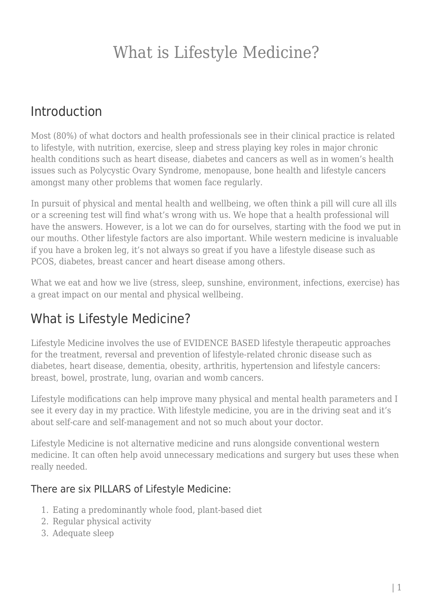### Introduction

Most (80%) of what doctors and health professionals see in their clinical practice is related to lifestyle, with nutrition, exercise, sleep and stress playing key roles in major chronic health conditions such as heart disease, diabetes and cancers as well as in women's health issues such as Polycystic Ovary Syndrome, menopause, bone health and lifestyle cancers amongst many other problems that women face regularly.

In pursuit of physical and mental health and wellbeing, we often think a pill will cure all ills or a screening test will find what's wrong with us. We hope that a health professional will have the answers. However, is a lot we can do for ourselves, starting with the food we put in our mouths. Other lifestyle factors are also important. While western medicine is invaluable if you have a broken leg, it's not always so great if you have a lifestyle disease such as PCOS, diabetes, breast cancer and heart disease among others.

What we eat and how we live (stress, sleep, sunshine, environment, infections, exercise) has a great impact on our mental and physical wellbeing.

### What is Lifestyle Medicine?

Lifestyle Medicine involves the use of EVIDENCE BASED lifestyle therapeutic approaches for the treatment, reversal and prevention of lifestyle-related chronic disease such as diabetes, heart disease, dementia, obesity, arthritis, hypertension and lifestyle cancers: breast, bowel, prostrate, lung, ovarian and womb cancers.

Lifestyle modifications can help improve many physical and mental health parameters and I see it every day in my practice. With lifestyle medicine, you are in the driving seat and it's about self-care and self-management and not so much about your doctor.

Lifestyle Medicine is not alternative medicine and runs alongside conventional western medicine. It can often help avoid unnecessary medications and surgery but uses these when really needed.

#### There are six PILLARS of Lifestyle Medicine:

- 1. Eating a predominantly whole food, plant-based diet
- 2. Regular physical activity
- 3. Adequate sleep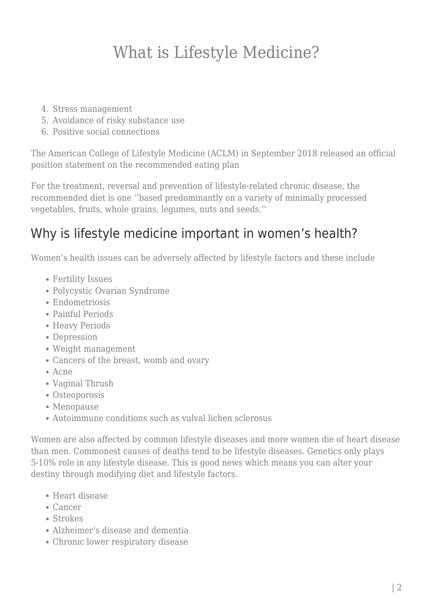- 4. Stress management
- 5. Avoidance of risky substance use
- 6. Positive social connections

The American College of Lifestyle Medicine (ACLM) in September 2018 released an official position statement on the recommended eating plan

For the treatment, reversal and prevention of lifestyle-related chronic disease, the recommended diet is one ''based predominantly on a variety of minimally processed vegetables, fruits, whole grains, legumes, nuts and seeds.''

### Why is lifestyle medicine important in women's health?

Women's health issues can be adversely affected by lifestyle factors and these include

- Fertility Issues
- Polycystic Ovarian Syndrome
- Endometriosis
- Painful Periods
- Heavy Periods
- Depression
- Weight management
- Cancers of the breast, womb and ovary
- Acne
- Vaginal Thrush
- Osteoporosis
- Menopause
- Autoimmune conditions such as vulval lichen sclerosus

Women are also affected by common lifestyle diseases and more women die of heart disease than men. Commonest causes of deaths tend to be lifestyle diseases. Genetics only plays 5-10% role in any lifestyle disease. This is good news which means you can alter your destiny through modifying diet and lifestyle factors.

- Heart disease
- Cancer
- Strokes
- Alzheimer's disease and dementia
- Chronic lower respiratory disease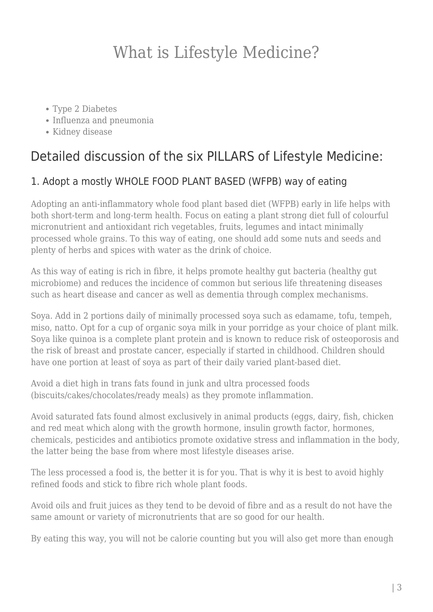- Type 2 Diabetes
- Influenza and pneumonia
- Kidney disease

### Detailed discussion of the six PILLARS of Lifestyle Medicine:

### 1. Adopt a mostly WHOLE FOOD PLANT BASED (WFPB) way of eating

Adopting an anti-inflammatory whole food plant based diet (WFPB) early in life helps with both short-term and long-term health. Focus on eating a plant strong diet full of colourful micronutrient and antioxidant rich vegetables, fruits, legumes and intact minimally processed whole grains. To this way of eating, one should add some nuts and seeds and plenty of herbs and spices with water as the drink of choice.

As this way of eating is rich in fibre, it helps promote healthy gut bacteria (healthy gut microbiome) and reduces the incidence of common but serious life threatening diseases such as heart disease and cancer as well as dementia through complex mechanisms.

Soya. Add in 2 portions daily of minimally processed soya such as edamame, tofu, tempeh, miso, natto. Opt for a cup of organic soya milk in your porridge as your choice of plant milk. Soya like quinoa is a complete plant protein and is known to reduce risk of osteoporosis and the risk of breast and prostate cancer, especially if started in childhood. Children should have one portion at least of soya as part of their daily varied plant-based diet.

Avoid a diet high in trans fats found in junk and ultra processed foods (biscuits/cakes/chocolates/ready meals) as they promote inflammation.

Avoid saturated fats found almost exclusively in animal products (eggs, dairy, fish, chicken and red meat which along with the growth hormone, insulin growth factor, hormones, chemicals, pesticides and antibiotics promote oxidative stress and inflammation in the body, the latter being the base from where most lifestyle diseases arise.

The less processed a food is, the better it is for you. That is why it is best to avoid highly refined foods and stick to fibre rich whole plant foods.

Avoid oils and fruit juices as they tend to be devoid of fibre and as a result do not have the same amount or variety of micronutrients that are so good for our health.

By eating this way, you will not be calorie counting but you will also get more than enough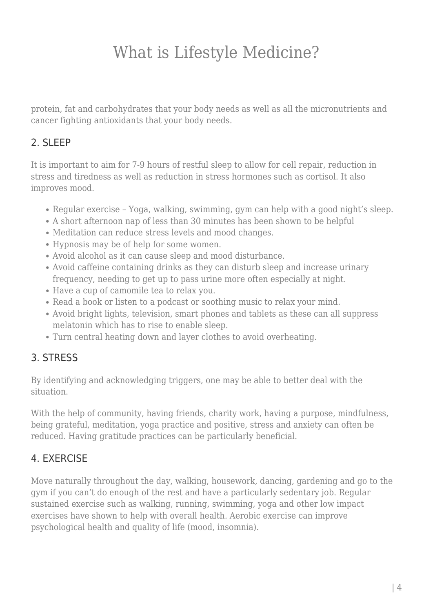protein, fat and carbohydrates that your body needs as well as all the micronutrients and cancer fighting antioxidants that your body needs.

#### 2. SLEEP

It is important to aim for 7-9 hours of restful sleep to allow for cell repair, reduction in stress and tiredness as well as reduction in stress hormones such as cortisol. It also improves mood.

- Regular exercise Yoga, walking, swimming, gym can help with a good night's sleep.
- A short afternoon nap of less than 30 minutes has been shown to be helpful
- Meditation can reduce stress levels and mood changes.
- Hypnosis may be of help for some women.
- Avoid alcohol as it can cause sleep and mood disturbance.
- Avoid caffeine containing drinks as they can disturb sleep and increase urinary frequency, needing to get up to pass urine more often especially at night.
- Have a cup of camomile tea to relax you.
- Read a book or listen to a podcast or soothing music to relax your mind.
- Avoid bright lights, television, smart phones and tablets as these can all suppress melatonin which has to rise to enable sleep.
- Turn central heating down and layer clothes to avoid overheating.

#### 3. STRESS

By identifying and acknowledging triggers, one may be able to better deal with the situation.

With the help of community, having friends, charity work, having a purpose, mindfulness, being grateful, meditation, yoga practice and positive, stress and anxiety can often be reduced. Having gratitude practices can be particularly beneficial.

### 4. EXERCISE

Move naturally throughout the day, walking, housework, dancing, gardening and go to the gym if you can't do enough of the rest and have a particularly sedentary job. Regular sustained exercise such as walking, running, swimming, yoga and other low impact exercises have shown to help with overall health. Aerobic exercise can improve psychological health and quality of life (mood, insomnia).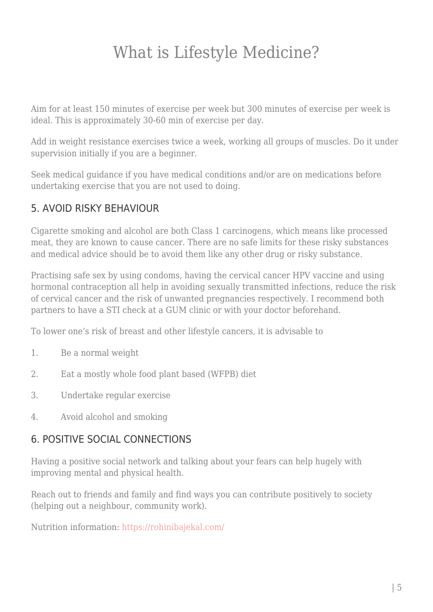Aim for at least 150 minutes of exercise per week but 300 minutes of exercise per week is ideal. This is approximately 30-60 min of exercise per day.

Add in weight resistance exercises twice a week, working all groups of muscles. Do it under supervision initially if you are a beginner.

Seek medical guidance if you have medical conditions and/or are on medications before undertaking exercise that you are not used to doing.

### 5. AVOID RISKY BEHAVIOUR

Cigarette smoking and alcohol are both Class 1 carcinogens, which means like processed meat, they are known to cause cancer. There are no safe limits for these risky substances and medical advice should be to avoid them like any other drug or risky substance.

Practising safe sex by using condoms, having the cervical cancer HPV vaccine and using hormonal contraception all help in avoiding sexually transmitted infections, reduce the risk of cervical cancer and the risk of unwanted pregnancies respectively. I recommend both partners to have a STI check at a GUM clinic or with your doctor beforehand.

To lower one's risk of breast and other lifestyle cancers, it is advisable to

- 1. Be a normal weight
- 2. Eat a mostly whole food plant based (WFPB) diet
- 3. Undertake regular exercise
- 4. Avoid alcohol and smoking

#### 6. POSITIVE SOCIAL CONNECTIONS

Having a positive social network and talking about your fears can help hugely with improving mental and physical health.

Reach out to friends and family and find ways you can contribute positively to society (helping out a neighbour, community work).

Nutrition information: <https://rohinibajekal.com/>